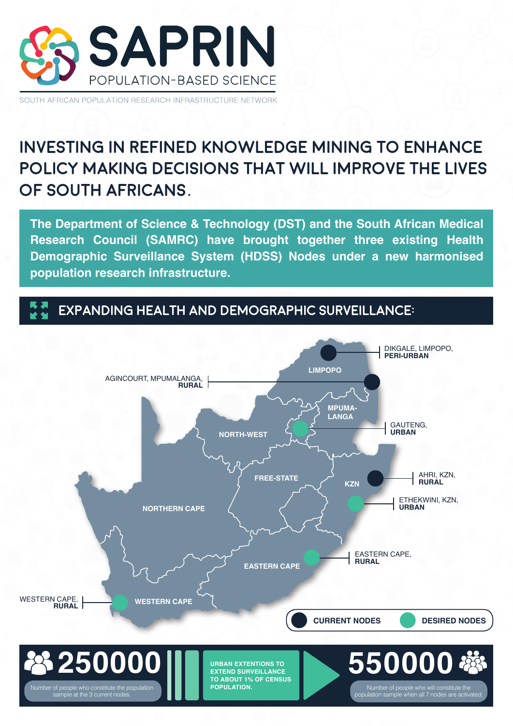

SOUTH AFRICAN POPULATION RESEARCH INFRASTRUCTURE NETWORK

# **INVESTING IN REFINED KNOWLEDGE MINING TO ENHANCE POLICY MAKING DECISIONS THAT WILL IMPROVE THE LIVES OF SOUTH AFRICANS.**

**The Department of Science & Technology (DST) and the South African Medical Research Council (SAMRC) have brought together three existing Health Demographic Surveillance System (HDSS) Nodes under a new harmonised population research infrastructure.** 

# **EXPANDING HEALTH AND DEMOGRAPHIC SURVEILLANCE:**